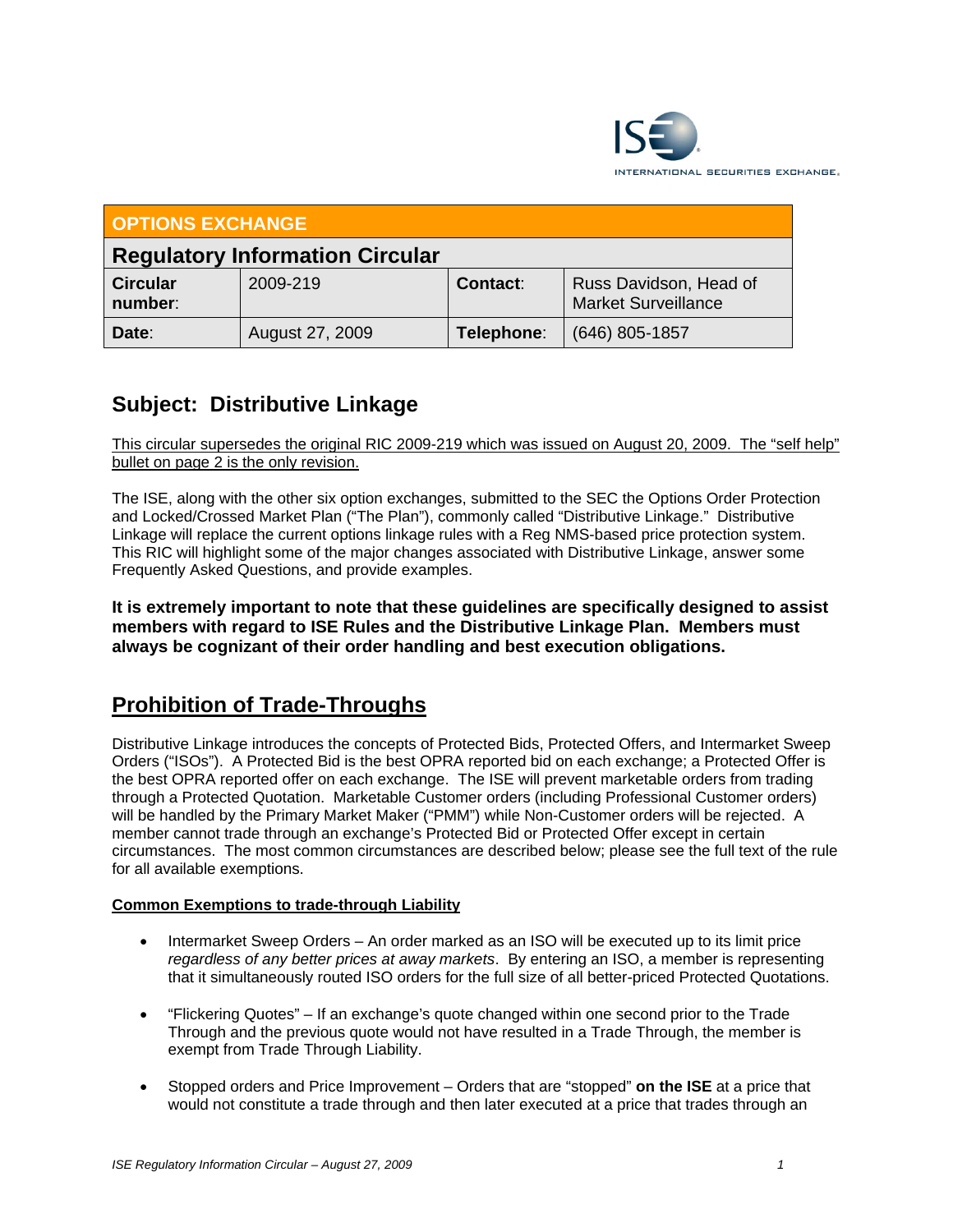

| <b>OPTIONS EXCHANGE</b>                |                 |            |                                                      |
|----------------------------------------|-----------------|------------|------------------------------------------------------|
| <b>Regulatory Information Circular</b> |                 |            |                                                      |
| <b>Circular</b><br>number:             | 2009-219        | Contact:   | Russ Davidson, Head of<br><b>Market Surveillance</b> |
| Date:                                  | August 27, 2009 | Telephone: | (646) 805-1857                                       |

# **Subject: Distributive Linkage**

This circular supersedes the original RIC 2009-219 which was issued on August 20, 2009. The "self help" bullet on page 2 is the only revision.

The ISE, along with the other six option exchanges, submitted to the SEC the Options Order Protection and Locked/Crossed Market Plan ("The Plan"), commonly called "Distributive Linkage." Distributive Linkage will replace the current options linkage rules with a Reg NMS-based price protection system. This RIC will highlight some of the major changes associated with Distributive Linkage, answer some Frequently Asked Questions, and provide examples.

**It is extremely important to note that these guidelines are specifically designed to assist members with regard to ISE Rules and the Distributive Linkage Plan. Members must always be cognizant of their order handling and best execution obligations.** 

## **Prohibition of Trade-Throughs**

Distributive Linkage introduces the concepts of Protected Bids, Protected Offers, and Intermarket Sweep Orders ("ISOs"). A Protected Bid is the best OPRA reported bid on each exchange; a Protected Offer is the best OPRA reported offer on each exchange. The ISE will prevent marketable orders from trading through a Protected Quotation. Marketable Customer orders (including Professional Customer orders) will be handled by the Primary Market Maker ("PMM") while Non-Customer orders will be rejected. A member cannot trade through an exchange's Protected Bid or Protected Offer except in certain circumstances. The most common circumstances are described below; please see the full text of the rule for all available exemptions.

## **Common Exemptions to trade-through Liability**

- Intermarket Sweep Orders An order marked as an ISO will be executed up to its limit price *regardless of any better prices at away markets*. By entering an ISO, a member is representing that it simultaneously routed ISO orders for the full size of all better-priced Protected Quotations.
- "Flickering Quotes" If an exchange's quote changed within one second prior to the Trade Through and the previous quote would not have resulted in a Trade Through, the member is exempt from Trade Through Liability.
- Stopped orders and Price Improvement Orders that are "stopped" **on the ISE** at a price that would not constitute a trade through and then later executed at a price that trades through an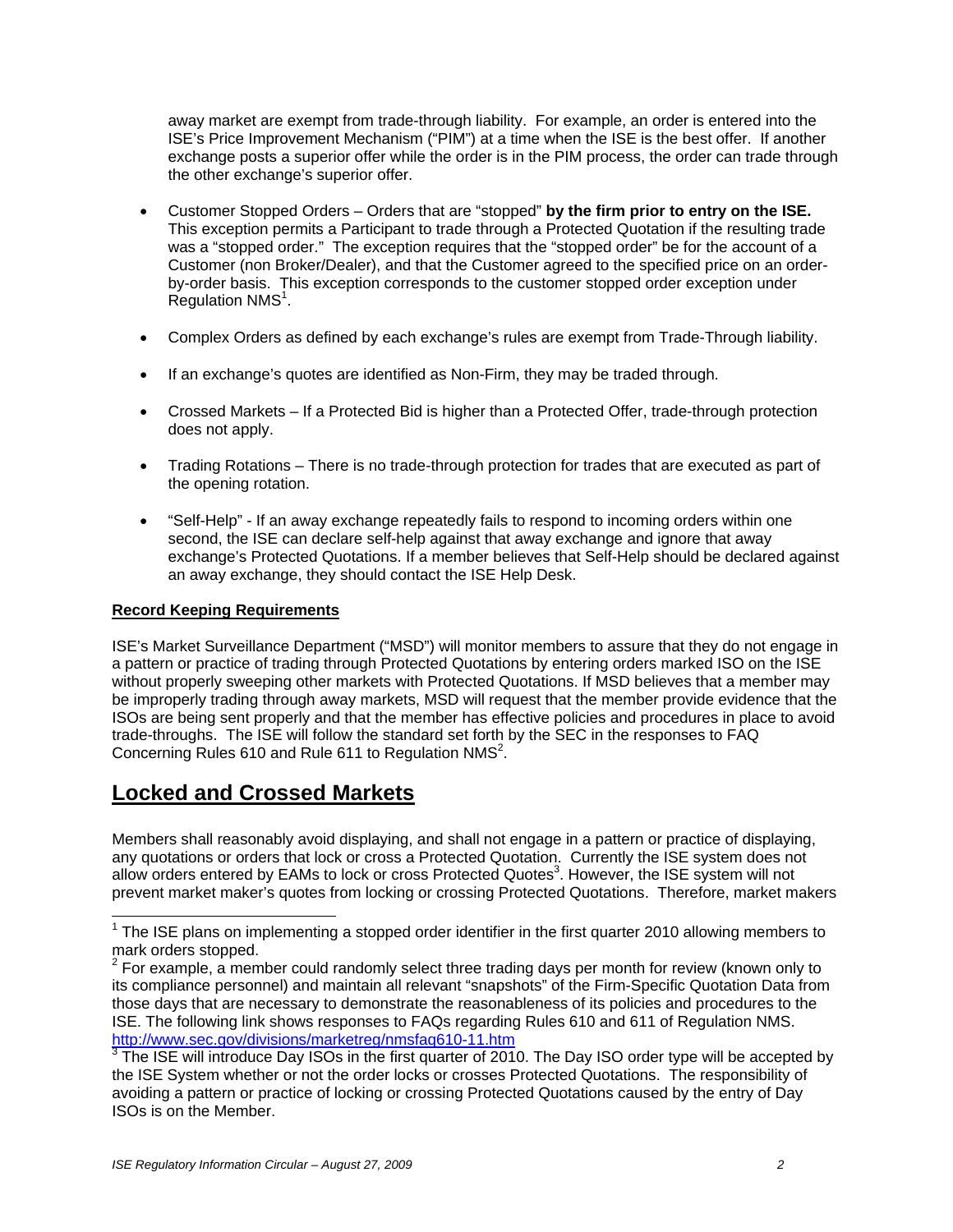away market are exempt from trade-through liability. For example, an order is entered into the ISE's Price Improvement Mechanism ("PIM") at a time when the ISE is the best offer. If another exchange posts a superior offer while the order is in the PIM process, the order can trade through the other exchange's superior offer.

- Customer Stopped Orders Orders that are "stopped" **by the firm prior to entry on the ISE.**  This exception permits a Participant to trade through a Protected Quotation if the resulting trade was a "stopped order." The exception requires that the "stopped order" be for the account of a Customer (non Broker/Dealer), and that the Customer agreed to the specified price on an orderby-order basis. This exception corresponds to the customer stopped order exception under  $R$ egulation NMS $<sup>1</sup>$ .</sup>
- Complex Orders as defined by each exchange's rules are exempt from Trade-Through liability.
- If an exchange's quotes are identified as Non-Firm, they may be traded through.
- Crossed Markets If a Protected Bid is higher than a Protected Offer, trade-through protection does not apply.
- Trading Rotations There is no trade-through protection for trades that are executed as part of the opening rotation.
- "Self-Help" If an away exchange repeatedly fails to respond to incoming orders within one second, the ISE can declare self-help against that away exchange and ignore that away exchange's Protected Quotations. If a member believes that Self-Help should be declared against an away exchange, they should contact the ISE Help Desk.

## **Record Keeping Requirements**

-

ISE's Market Surveillance Department ("MSD") will monitor members to assure that they do not engage in a pattern or practice of trading through Protected Quotations by entering orders marked ISO on the ISE without properly sweeping other markets with Protected Quotations. If MSD believes that a member may be improperly trading through away markets, MSD will request that the member provide evidence that the ISOs are being sent properly and that the member has effective policies and procedures in place to avoid trade-throughs. The ISE will follow the standard set forth by the SEC in the responses to FAQ Concerning Rules 610 and Rule 611 to Regulation NMS<sup>2</sup>.

## **Locked and Crossed Markets**

Members shall reasonably avoid displaying, and shall not engage in a pattern or practice of displaying, any quotations or orders that lock or cross a Protected Quotation. Currently the ISE system does not allow orders entered by EAMs to lock or cross Protected Quotes<sup>3</sup>. However, the ISE system will not prevent market maker's quotes from locking or crossing Protected Quotations. Therefore, market makers

 $1$  The ISE plans on implementing a stopped order identifier in the first quarter 2010 allowing members to mark orders stopped.

 $2^{2}$  For example, a member could randomly select three trading days per month for review (known only to its compliance personnel) and maintain all relevant "snapshots" of the Firm-Specific Quotation Data from those days that are necessary to demonstrate the reasonableness of its policies and procedures to the ISE. The following link shows responses to FAQs regarding Rules 610 and 611 of Regulation NMS.

<sup>&</sup>lt;u>http://www.sec.gov/divisions/marketreg/nmsfaq610-11.htm</u><br><sup>3</sup> The ISE will introduce Day ISOs in the first quarter of 2010. The Day ISO order type will be accepted by the ISE System whether or not the order locks or crosses Protected Quotations. The responsibility of avoiding a pattern or practice of locking or crossing Protected Quotations caused by the entry of Day ISOs is on the Member.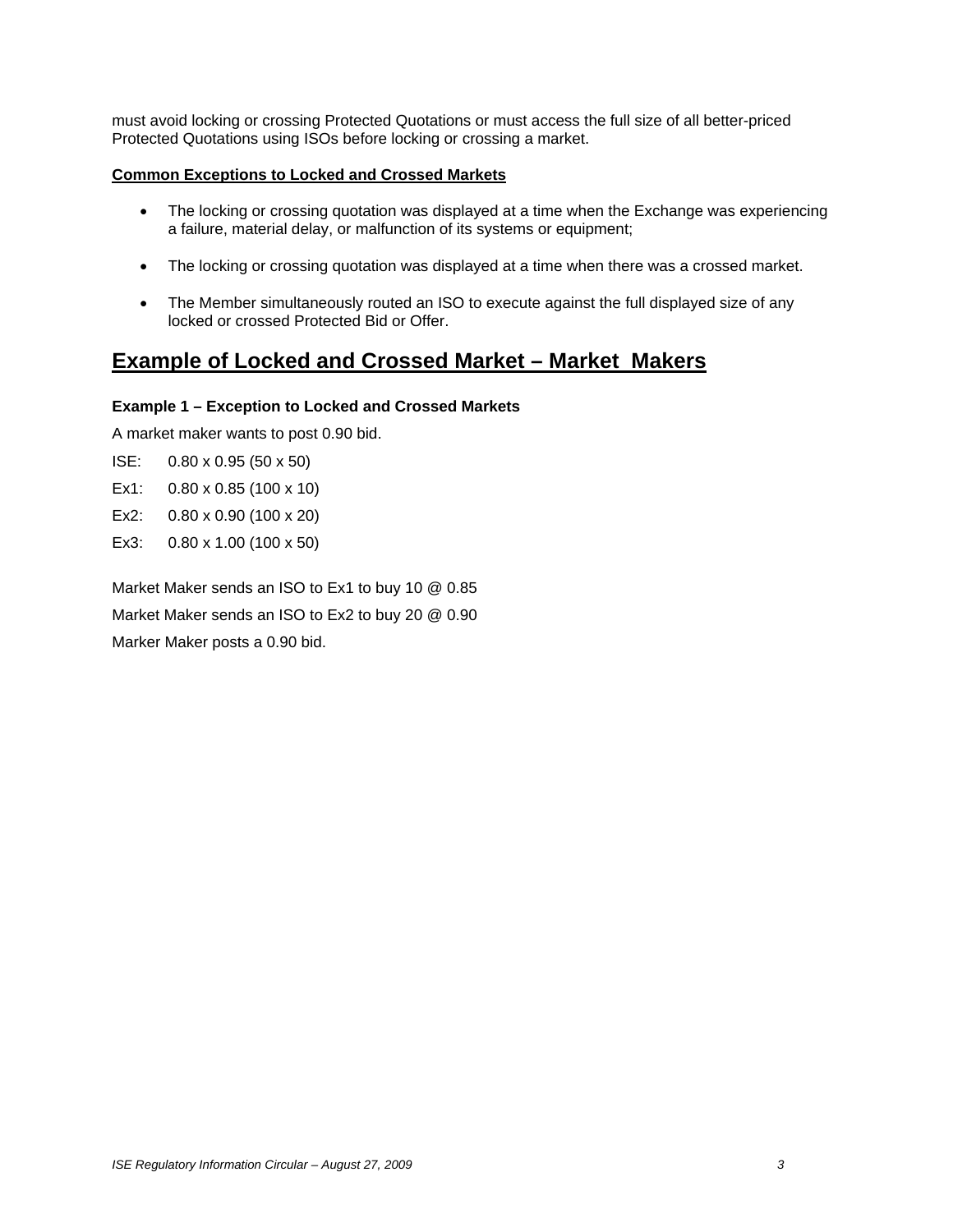must avoid locking or crossing Protected Quotations or must access the full size of all better-priced Protected Quotations using ISOs before locking or crossing a market.

## **Common Exceptions to Locked and Crossed Markets**

- The locking or crossing quotation was displayed at a time when the Exchange was experiencing a failure, material delay, or malfunction of its systems or equipment;
- The locking or crossing quotation was displayed at a time when there was a crossed market.
- The Member simultaneously routed an ISO to execute against the full displayed size of any locked or crossed Protected Bid or Offer.

## **Example of Locked and Crossed Market – Market Makers**

## **Example 1 – Exception to Locked and Crossed Markets**

A market maker wants to post 0.90 bid.

- ISE: 0.80 x 0.95 (50 x 50)
- Ex1: 0.80 x 0.85 (100 x 10)
- Ex2: 0.80 x 0.90 (100 x 20)
- Ex3: 0.80 x 1.00 (100 x 50)

Market Maker sends an ISO to Ex1 to buy 10 @ 0.85 Market Maker sends an ISO to Ex2 to buy 20 @ 0.90 Marker Maker posts a 0.90 bid.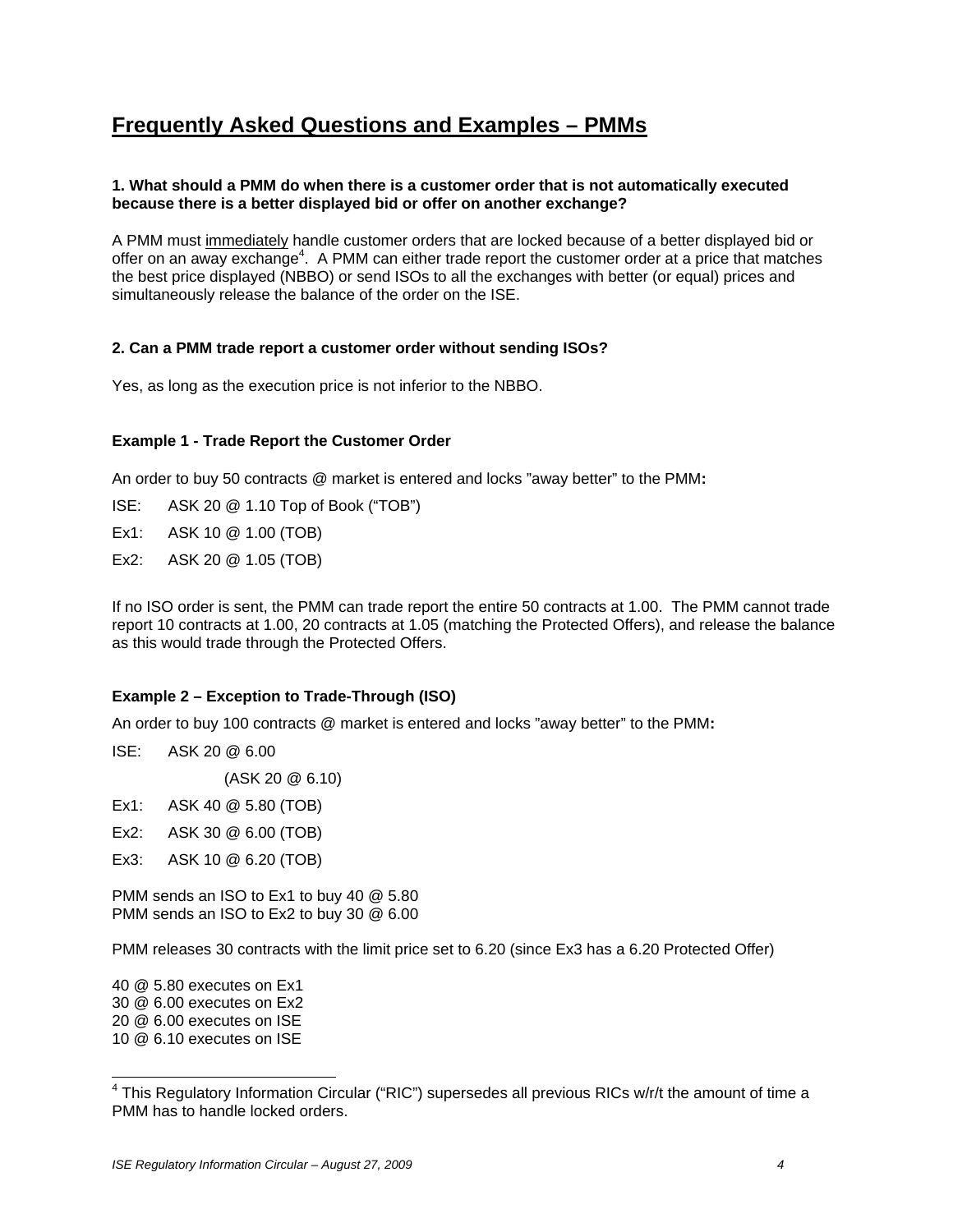## **Frequently Asked Questions and Examples – PMMs**

## **1. What should a PMM do when there is a customer order that is not automatically executed because there is a better displayed bid or offer on another exchange?**

A PMM must immediately handle customer orders that are locked because of a better displayed bid or offer on an away exchange<sup>4</sup>. A PMM can either trade report the customer order at a price that matches the best price displayed (NBBO) or send ISOs to all the exchanges with better (or equal) prices and simultaneously release the balance of the order on the ISE.

## **2. Can a PMM trade report a customer order without sending ISOs?**

Yes, as long as the execution price is not inferior to the NBBO.

## **Example 1 - Trade Report the Customer Order**

An order to buy 50 contracts @ market is entered and locks "away better" to the PMM**:**

ISE: ASK 20 @ 1.10 Top of Book ("TOB")

Ex1: ASK 10 @ 1.00 (TOB)

Ex2: ASK 20 @ 1.05 (TOB)

If no ISO order is sent, the PMM can trade report the entire 50 contracts at 1.00. The PMM cannot trade report 10 contracts at 1.00, 20 contracts at 1.05 (matching the Protected Offers), and release the balance as this would trade through the Protected Offers.

### **Example 2 – Exception to Trade-Through (ISO)**

An order to buy 100 contracts @ market is entered and locks "away better" to the PMM**:**

ISE: ASK 20 @ 6.00

(ASK 20 @ 6.10)

- Ex1: ASK 40 @ 5.80 (TOB)
- Ex2: ASK 30 @ 6.00 (TOB)
- Ex3: ASK 10 @ 6.20 (TOB)

PMM sends an ISO to Ex1 to buy 40 @ 5.80 PMM sends an ISO to Ex2 to buy 30 @ 6.00

PMM releases 30 contracts with the limit price set to 6.20 (since Ex3 has a 6.20 Protected Offer)

40 @ 5.80 executes on Ex1 30 @ 6.00 executes on Ex2 20 @ 6.00 executes on ISE

<sup>10 @ 6.10</sup> executes on ISE

 4 This Regulatory Information Circular ("RIC") supersedes all previous RICs w/r/t the amount of time a PMM has to handle locked orders.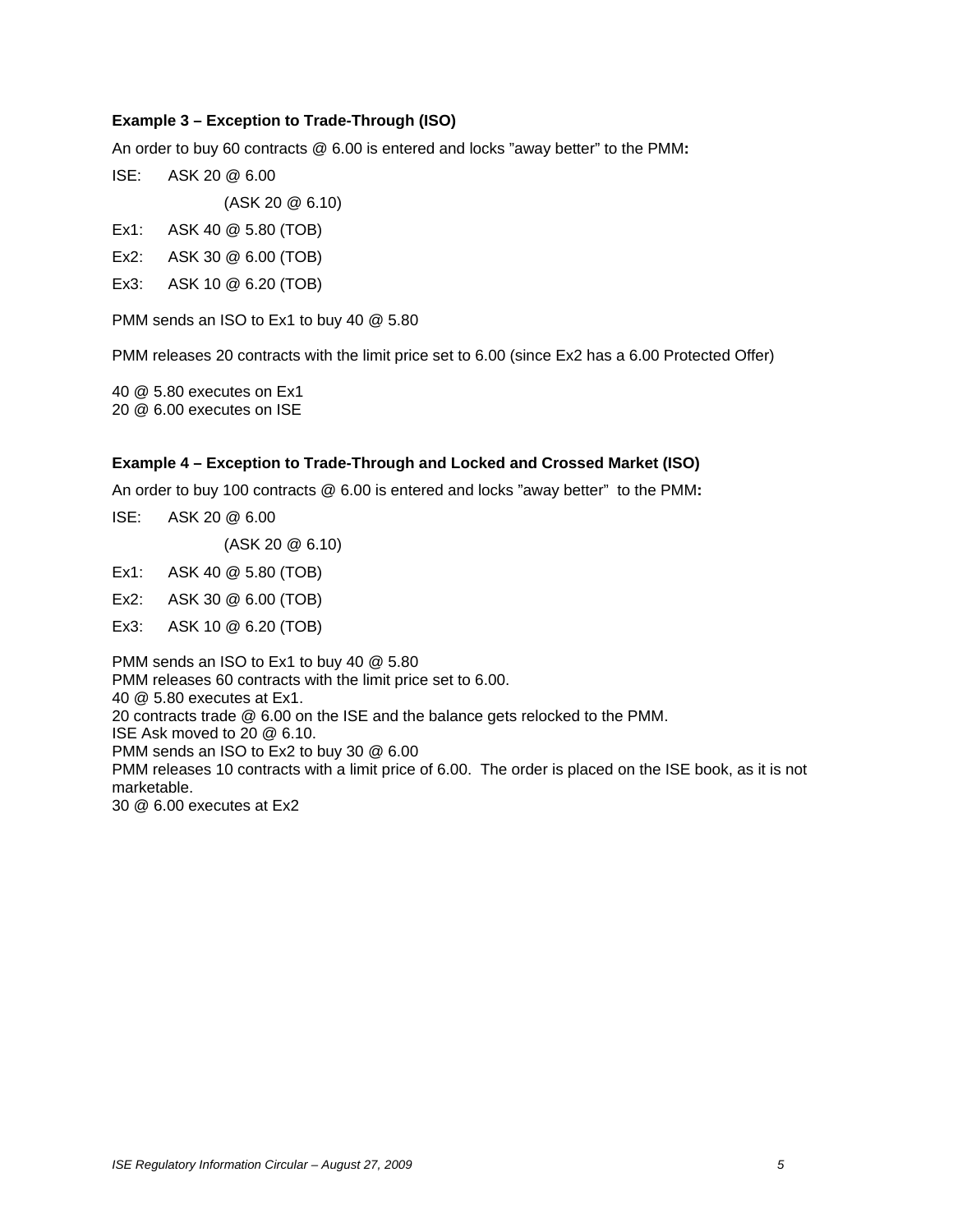## **Example 3 – Exception to Trade-Through (ISO)**

An order to buy 60 contracts @ 6.00 is entered and locks "away better" to the PMM**:**

ISE: ASK 20 @ 6.00

(ASK 20 @ 6.10)

- Ex1: ASK 40 @ 5.80 (TOB)
- Ex2: ASK 30 @ 6.00 (TOB)
- Ex3: ASK 10 @ 6.20 (TOB)

PMM sends an ISO to Ex1 to buy 40 @ 5.80

PMM releases 20 contracts with the limit price set to 6.00 (since Ex2 has a 6.00 Protected Offer)

40 @ 5.80 executes on Ex1 20 @ 6.00 executes on ISE

#### **Example 4 – Exception to Trade-Through and Locked and Crossed Market (ISO)**

An order to buy 100 contracts @ 6.00 is entered and locks "away better" to the PMM**:**

ISE: ASK 20 @ 6.00

(ASK 20 @ 6.10)

Ex1: ASK 40 @ 5.80 (TOB)

- Ex2: ASK 30 @ 6.00 (TOB)
- Ex3: ASK 10 @ 6.20 (TOB)

PMM sends an ISO to Ex1 to buy 40 @ 5.80 PMM releases 60 contracts with the limit price set to 6.00. 40 @ 5.80 executes at Ex1. 20 contracts trade @ 6.00 on the ISE and the balance gets relocked to the PMM. ISE Ask moved to 20 @ 6.10. PMM sends an ISO to Ex2 to buy 30 @ 6.00 PMM releases 10 contracts with a limit price of 6.00. The order is placed on the ISE book, as it is not marketable. 30 @ 6.00 executes at Ex2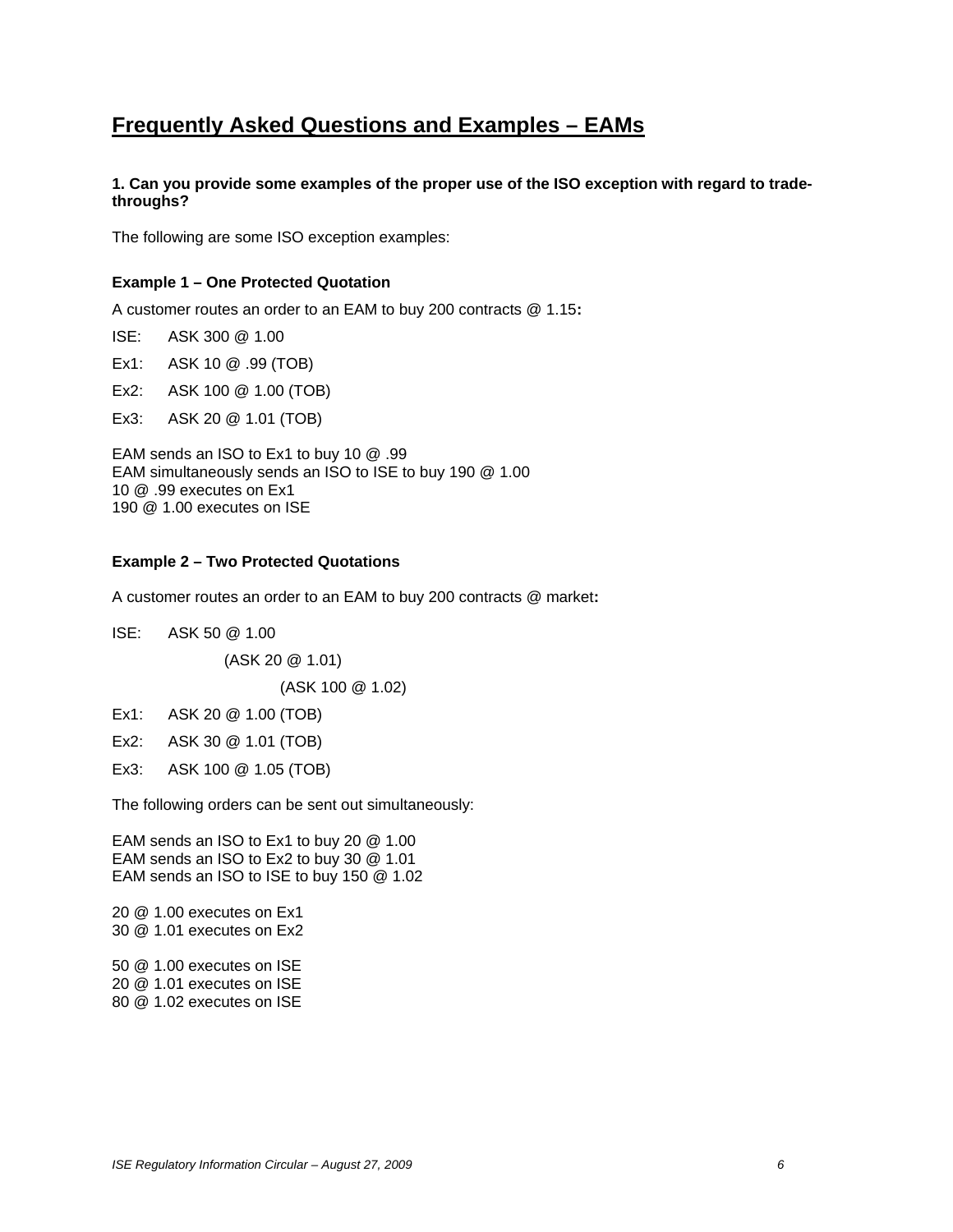## **Frequently Asked Questions and Examples – EAMs**

### **1. Can you provide some examples of the proper use of the ISO exception with regard to tradethroughs?**

The following are some ISO exception examples:

### **Example 1 – One Protected Quotation**

A customer routes an order to an EAM to buy 200 contracts @ 1.15**:**

ISE: ASK 300 @ 1.00

Ex1: ASK 10 @ .99 (TOB)

Ex2: ASK 100 @ 1.00 (TOB)

Ex3: ASK 20 @ 1.01 (TOB)

EAM sends an ISO to Ex1 to buy 10 @ .99 EAM simultaneously sends an ISO to ISE to buy 190 @ 1.00 10 @ .99 executes on Ex1 190 @ 1.00 executes on ISE

### **Example 2 – Two Protected Quotations**

A customer routes an order to an EAM to buy 200 contracts @ market**:**

ISE: ASK 50 @ 1.00

(ASK 20 @ 1.01)

(ASK 100 @ 1.02)

Ex1: ASK 20 @ 1.00 (TOB)

Ex2: ASK 30 @ 1.01 (TOB)

Ex3: ASK 100 @ 1.05 (TOB)

The following orders can be sent out simultaneously:

EAM sends an ISO to Ex1 to buy 20 @ 1.00 EAM sends an ISO to Ex2 to buy 30 @ 1.01 EAM sends an ISO to ISE to buy 150 @ 1.02

20 @ 1.00 executes on Ex1 30 @ 1.01 executes on Ex2

50 @ 1.00 executes on ISE 20 @ 1.01 executes on ISE 80 @ 1.02 executes on ISE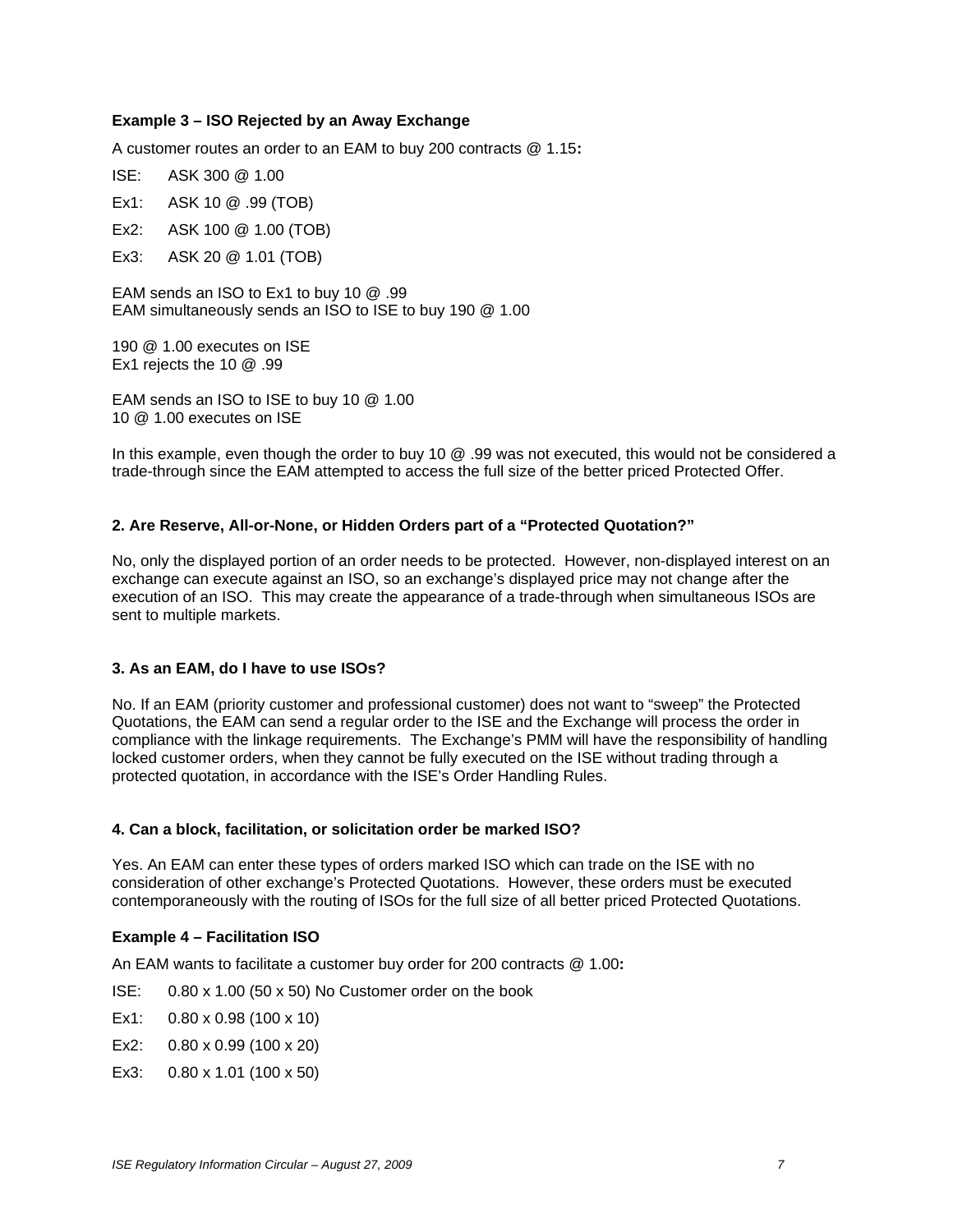## **Example 3 – ISO Rejected by an Away Exchange**

A customer routes an order to an EAM to buy 200 contracts @ 1.15**:**

- ISE: ASK 300 @ 1.00
- Ex1: ASK 10 @ .99 (TOB)
- Ex2: ASK 100 @ 1.00 (TOB)
- Ex3: ASK 20 @ 1.01 (TOB)

EAM sends an ISO to Ex1 to buy 10 @ .99 EAM simultaneously sends an ISO to ISE to buy 190 @ 1.00

190 @ 1.00 executes on ISE Ex1 rejects the 10 @ .99

EAM sends an ISO to ISE to buy 10 @ 1.00 10 @ 1.00 executes on ISE

In this example, even though the order to buy 10 @ .99 was not executed, this would not be considered a trade-through since the EAM attempted to access the full size of the better priced Protected Offer.

#### **2. Are Reserve, All-or-None, or Hidden Orders part of a "Protected Quotation?"**

No, only the displayed portion of an order needs to be protected. However, non-displayed interest on an exchange can execute against an ISO, so an exchange's displayed price may not change after the execution of an ISO. This may create the appearance of a trade-through when simultaneous ISOs are sent to multiple markets.

#### **3. As an EAM, do I have to use ISOs?**

No. If an EAM (priority customer and professional customer) does not want to "sweep" the Protected Quotations, the EAM can send a regular order to the ISE and the Exchange will process the order in compliance with the linkage requirements. The Exchange's PMM will have the responsibility of handling locked customer orders, when they cannot be fully executed on the ISE without trading through a protected quotation, in accordance with the ISE's Order Handling Rules.

#### **4. Can a block, facilitation, or solicitation order be marked ISO?**

Yes. An EAM can enter these types of orders marked ISO which can trade on the ISE with no consideration of other exchange's Protected Quotations. However, these orders must be executed contemporaneously with the routing of ISOs for the full size of all better priced Protected Quotations.

#### **Example 4 – Facilitation ISO**

An EAM wants to facilitate a customer buy order for 200 contracts @ 1.00**:**

- ISE: 0.80 x 1.00 (50 x 50) No Customer order on the book
- Ex1: 0.80 x 0.98 (100 x 10)
- Ex2: 0.80 x 0.99 (100 x 20)
- Ex3: 0.80 x 1.01 (100 x 50)